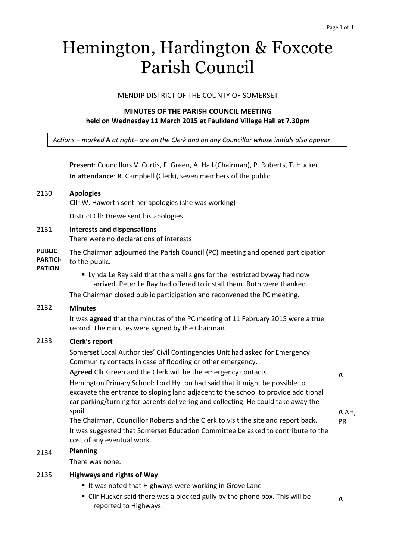# Hemington, Hardington & Foxcote Parish Council

#### MENDIP DISTRICT OF THE COUNTY OF SOMERSET

## **MINUTES OF THE PARISH COUNCIL MEETING held on Wednesday 11 March 2015 at Faulkland Village Hall at 7.30pm**

*Actions – marked* **A** *at right– are on the Clerk and on any Councillor whose initials also appear*

|                                                   | Present: Councillors V. Curtis, F. Green, A. Hall (Chairman), P. Roberts, T. Hucker,<br>In attendance: R. Campbell (Clerk), seven members of the public                                                                                                |       |
|---------------------------------------------------|--------------------------------------------------------------------------------------------------------------------------------------------------------------------------------------------------------------------------------------------------------|-------|
| 2130                                              | <b>Apologies</b><br>Cllr W. Haworth sent her apologies (she was working)                                                                                                                                                                               |       |
|                                                   | District Cllr Drewe sent his apologies                                                                                                                                                                                                                 |       |
| 2131                                              | <b>Interests and dispensations</b><br>There were no declarations of interests                                                                                                                                                                          |       |
| <b>PUBLIC</b><br><b>PARTICI-</b><br><b>PATION</b> | The Chairman adjourned the Parish Council (PC) meeting and opened participation<br>to the public.                                                                                                                                                      |       |
|                                                   | " Lynda Le Ray said that the small signs for the restricted byway had now<br>arrived. Peter Le Ray had offered to install them. Both were thanked.<br>The Chairman closed public participation and reconvened the PC meeting.                          |       |
| 2132                                              | <b>Minutes</b>                                                                                                                                                                                                                                         |       |
|                                                   | It was agreed that the minutes of the PC meeting of 11 February 2015 were a true<br>record. The minutes were signed by the Chairman.                                                                                                                   |       |
| 2133                                              | Clerk's report                                                                                                                                                                                                                                         |       |
|                                                   | Somerset Local Authorities' Civil Contingencies Unit had asked for Emergency<br>Community contacts in case of flooding or other emergency.                                                                                                             |       |
|                                                   | Agreed Cllr Green and the Clerk will be the emergency contacts.                                                                                                                                                                                        | A     |
|                                                   | Hemington Primary School: Lord Hylton had said that it might be possible to<br>excavate the entrance to sloping land adjacent to the school to provide additional<br>car parking/turning for parents delivering and collecting. He could take away the |       |
|                                                   | spoil.                                                                                                                                                                                                                                                 | A AH, |
|                                                   | The Chairman, Councillor Roberts and the Clerk to visit the site and report back.                                                                                                                                                                      | PR    |
|                                                   | It was suggested that Somerset Education Committee be asked to contribute to the<br>cost of any eventual work.                                                                                                                                         |       |
| 2134                                              | <b>Planning</b>                                                                                                                                                                                                                                        |       |
|                                                   | There was none.                                                                                                                                                                                                                                        |       |

#### 2135 **Highways and rights of Way**

- I It was noted that Highways were working in Grove Lane
- Cllr Hucker said there was a blocked gully by the phone box. This will be reported to Highways.

**A**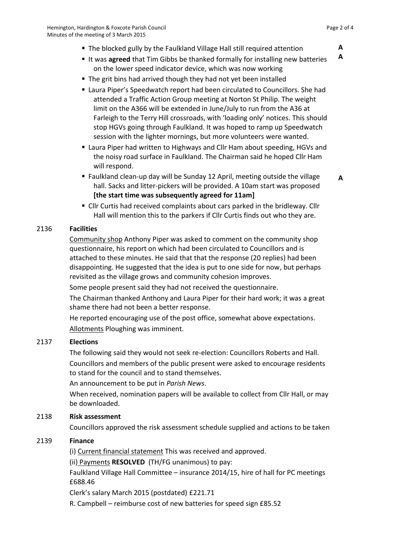- It was **agreed** that Tim Gibbs be thanked formally for installing new batteries on the lower speed indicator device, which was now working **A**
- The grit bins had arrived though they had not yet been installed
- Laura Piper's Speedwatch report had been circulated to Councillors. She had attended a Traffic Action Group meeting at Norton St Philip. The weight limit on the A366 will be extended in June/July to run from the A36 at Farleigh to the Terry Hill crossroads, with 'loading only' notices. This should stop HGVs going through Faulkland. It was hoped to ramp up Speedwatch session with the lighter mornings, but more volunteers were wanted.
- Laura Piper had written to Highways and Cllr Ham about speeding, HGVs and the noisy road surface in Faulkland. The Chairman said he hoped Cllr Ham will respond.
- Faulkland clean-up day will be Sunday 12 April, meeting outside the village hall. Sacks and litter-pickers will be provided. A 10am start was proposed **[the start time was subsequently agreed for 11am]**
- Cllr Curtis had received complaints about cars parked in the bridleway. Cllr Hall will mention this to the parkers if Cllr Curtis finds out who they are.

## 2136 **Facilities**

Community shop Anthony Piper was asked to comment on the community shop questionnaire, his report on which had been circulated to Councillors and is attached to these minutes. He said that that the response (20 replies) had been disappointing. He suggested that the idea is put to one side for now, but perhaps revisited as the village grows and community cohesion improves.

Some people present said they had not received the questionnaire.

The Chairman thanked Anthony and Laura Piper for their hard work; it was a great shame there had not been a better response.

He reported encouraging use of the post office, somewhat above expectations. Allotments Ploughing was imminent.

## 2137 **Elections**

The following said they would not seek re-election: Councillors Roberts and Hall. Councillors and members of the public present were asked to encourage residents to stand for the council and to stand themselves.

An announcement to be put in *Parish News*.

When received, nomination papers will be available to collect from Cllr Hall, or may be downloaded.

#### 2138 **Risk assessment**

Councillors approved the risk assessment schedule supplied and actions to be taken

#### 2139 **Finance**

(i) Current financial statement This was received and approved.

(ii) Payments **RESOLVED** (TH/FG unanimous) to pay:

Faulkland Village Hall Committee – insurance 2014/15, hire of hall for PC meetings £688.46

Clerk's salary March 2015 (postdated) £221.71

R. Campbell – reimburse cost of new batteries for speed sign £85.52

**A**

**A**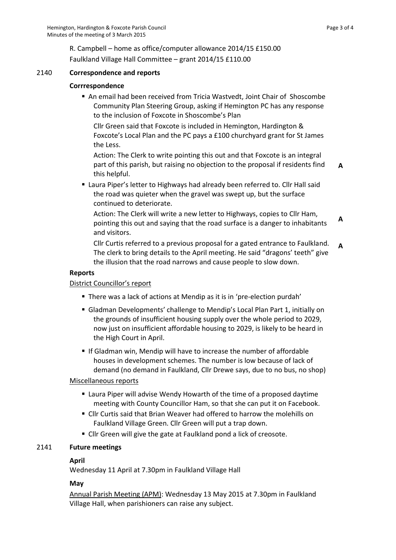R. Campbell – home as office/computer allowance 2014/15 £150.00 Faulkland Village Hall Committee – grant 2014/15 £110.00

#### 2140 **Correspondence and reports**

## **Corrrespondence**

 An email had been received from Tricia Wastvedt, Joint Chair of Shoscombe Community Plan Steering Group, asking if Hemington PC has any response to the inclusion of Foxcote in Shoscombe's Plan

Cllr Green said that Foxcote is included in Hemington, Hardington & Foxcote's Local Plan and the PC pays a £100 churchyard grant for St James the Less.

Action: The Clerk to write pointing this out and that Foxcote is an integral part of this parish, but raising no objection to the proposal if residents find this helpful.

- **A**
- Laura Piper's letter to Highways had already been referred to. Cllr Hall said the road was quieter when the gravel was swept up, but the surface continued to deteriorate.

Action: The Clerk will write a new letter to Highways, copies to Cllr Ham, pointing this out and saying that the road surface is a danger to inhabitants and visitors. **A**

Cllr Curtis referred to a previous proposal for a gated entrance to Faulkland. The clerk to bring details to the April meeting. He said "dragons' teeth" give the illusion that the road narrows and cause people to slow down. **A**

#### **Reports**

#### District Councillor's report

- There was a lack of actions at Mendip as it is in 'pre-election purdah'
- Gladman Developments' challenge to Mendip's Local Plan Part 1, initially on the grounds of insufficient housing supply over the whole period to 2029, now just on insufficient affordable housing to 2029, is likely to be heard in the High Court in April.
- **If Gladman win, Mendip will have to increase the number of affordable** houses in development schemes. The number is low because of lack of demand (no demand in Faulkland, Cllr Drewe says, due to no bus, no shop)

#### Miscellaneous reports

- Laura Piper will advise Wendy Howarth of the time of a proposed daytime meeting with County Councillor Ham, so that she can put it on Facebook.
- Cllr Curtis said that Brian Weaver had offered to harrow the molehills on Faulkland Village Green. Cllr Green will put a trap down.
- Cllr Green will give the gate at Faulkland pond a lick of creosote.

#### 2141 **Future meetings**

#### **April**

Wednesday 11 April at 7.30pm in Faulkland Village Hall

#### **May**

Annual Parish Meeting (APM): Wednesday 13 May 2015 at 7.30pm in Faulkland Village Hall, when parishioners can raise any subject.